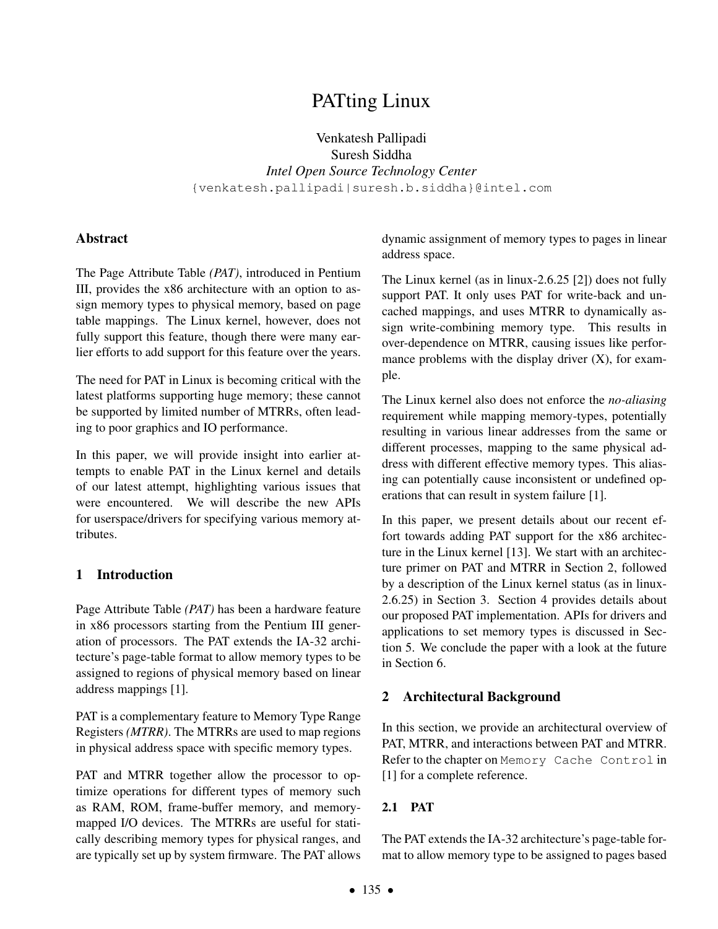# PATting Linux

Venkatesh Pallipadi Suresh Siddha *Intel Open Source Technology Center* {venkatesh.pallipadi|suresh.b.siddha}@intel.com

#### Abstract

The Page Attribute Table *(PAT)*, introduced in Pentium III, provides the x86 architecture with an option to assign memory types to physical memory, based on page table mappings. The Linux kernel, however, does not fully support this feature, though there were many earlier efforts to add support for this feature over the years.

The need for PAT in Linux is becoming critical with the latest platforms supporting huge memory; these cannot be supported by limited number of MTRRs, often leading to poor graphics and IO performance.

In this paper, we will provide insight into earlier attempts to enable PAT in the Linux kernel and details of our latest attempt, highlighting various issues that were encountered. We will describe the new APIs for userspace/drivers for specifying various memory attributes.

## 1 Introduction

Page Attribute Table *(PAT)* has been a hardware feature in x86 processors starting from the Pentium III generation of processors. The PAT extends the IA-32 architecture's page-table format to allow memory types to be assigned to regions of physical memory based on linear address mappings [1].

PAT is a complementary feature to Memory Type Range Registers *(MTRR)*. The MTRRs are used to map regions in physical address space with specific memory types.

PAT and MTRR together allow the processor to optimize operations for different types of memory such as RAM, ROM, frame-buffer memory, and memorymapped I/O devices. The MTRRs are useful for statically describing memory types for physical ranges, and are typically set up by system firmware. The PAT allows dynamic assignment of memory types to pages in linear address space.

The Linux kernel (as in linux-2.6.25 [2]) does not fully support PAT. It only uses PAT for write-back and uncached mappings, and uses MTRR to dynamically assign write-combining memory type. This results in over-dependence on MTRR, causing issues like performance problems with the display driver  $(X)$ , for example.

The Linux kernel also does not enforce the *no-aliasing* requirement while mapping memory-types, potentially resulting in various linear addresses from the same or different processes, mapping to the same physical address with different effective memory types. This aliasing can potentially cause inconsistent or undefined operations that can result in system failure [1].

In this paper, we present details about our recent effort towards adding PAT support for the x86 architecture in the Linux kernel [13]. We start with an architecture primer on PAT and MTRR in Section 2, followed by a description of the Linux kernel status (as in linux-2.6.25) in Section 3. Section 4 provides details about our proposed PAT implementation. APIs for drivers and applications to set memory types is discussed in Section 5. We conclude the paper with a look at the future in Section 6.

## 2 Architectural Background

In this section, we provide an architectural overview of PAT, MTRR, and interactions between PAT and MTRR. Refer to the chapter on Memory Cache Control in [1] for a complete reference.

## 2.1 PAT

The PAT extends the IA-32 architecture's page-table format to allow memory type to be assigned to pages based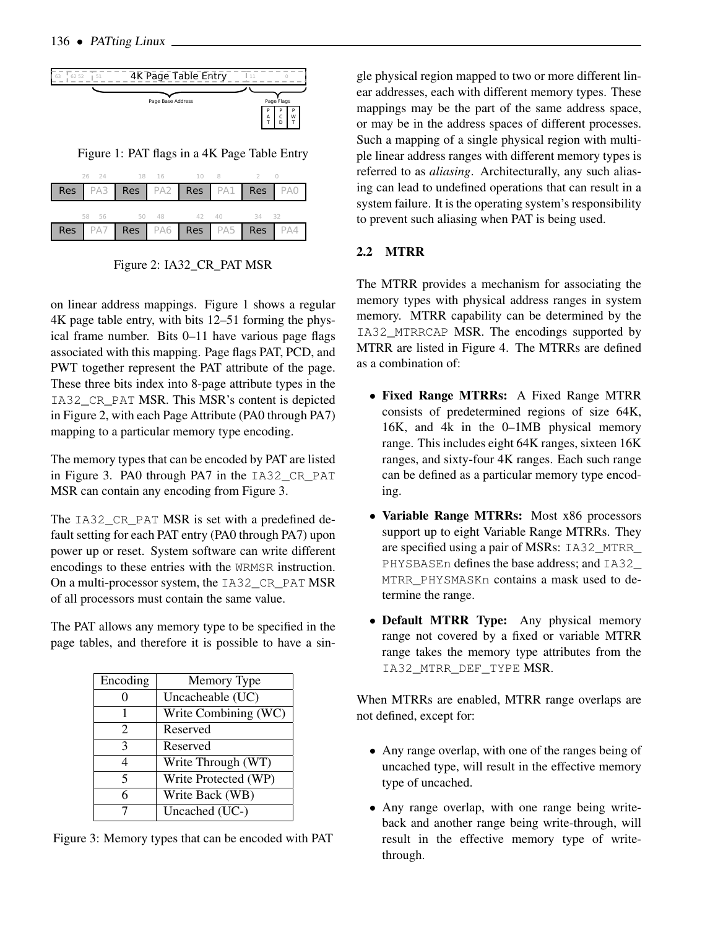

Figure 1: PAT flags in a 4K Page Table Entry

|  |  |                         |  |  | 26 24 18 16 10 8 2 0 |  |                                 |
|--|--|-------------------------|--|--|----------------------|--|---------------------------------|
|  |  |                         |  |  |                      |  | Res PA3 Res PA2 Res PA1 Res PA0 |
|  |  | 58 56 50 48 42 40 34 32 |  |  |                      |  |                                 |
|  |  |                         |  |  |                      |  | Res PA7 Res PA6 Res PA5 Res PA4 |

Figure 2: IA32\_CR\_PAT MSR

on linear address mappings. Figure 1 shows a regular 4K page table entry, with bits 12–51 forming the physical frame number. Bits 0–11 have various page flags associated with this mapping. Page flags PAT, PCD, and PWT together represent the PAT attribute of the page. These three bits index into 8-page attribute types in the IA32\_CR\_PAT MSR. This MSR's content is depicted in Figure 2, with each Page Attribute (PA0 through PA7) mapping to a particular memory type encoding.

The memory types that can be encoded by PAT are listed in Figure 3. PA0 through PA7 in the IA32\_CR\_PAT MSR can contain any encoding from Figure 3.

The IA32 CR PAT MSR is set with a predefined default setting for each PAT entry (PA0 through PA7) upon power up or reset. System software can write different encodings to these entries with the WRMSR instruction. On a multi-processor system, the IA32 CR PAT MSR of all processors must contain the same value.

The PAT allows any memory type to be specified in the page tables, and therefore it is possible to have a sin-

| Encoding              | Memory Type          |
|-----------------------|----------------------|
|                       | Uncacheable (UC)     |
|                       | Write Combining (WC) |
| $\mathcal{D}_{\cdot}$ | Reserved             |
| 3                     | Reserved             |
| 4                     | Write Through (WT)   |
| 5                     | Write Protected (WP) |
| 6                     | Write Back (WB)      |
|                       | Uncached (UC-)       |

Figure 3: Memory types that can be encoded with PAT

gle physical region mapped to two or more different linear addresses, each with different memory types. These mappings may be the part of the same address space, or may be in the address spaces of different processes. Such a mapping of a single physical region with multiple linear address ranges with different memory types is referred to as *aliasing*. Architecturally, any such aliasing can lead to undefined operations that can result in a system failure. It is the operating system's responsibility to prevent such aliasing when PAT is being used.

# 2.2 MTRR

The MTRR provides a mechanism for associating the memory types with physical address ranges in system memory. MTRR capability can be determined by the IA32\_MTRRCAP MSR. The encodings supported by MTRR are listed in Figure 4. The MTRRs are defined as a combination of:

- Fixed Range MTRRs: A Fixed Range MTRR consists of predetermined regions of size 64K, 16K, and 4k in the 0–1MB physical memory range. This includes eight 64K ranges, sixteen 16K ranges, and sixty-four 4K ranges. Each such range can be defined as a particular memory type encoding.
- Variable Range MTRRs: Most x86 processors support up to eight Variable Range MTRRs. They are specified using a pair of MSRs: IA32\_MTRR\_ PHYSBASEn defines the base address; and IA32 MTRR\_PHYSMASKn contains a mask used to determine the range.
- Default MTRR Type: Any physical memory range not covered by a fixed or variable MTRR range takes the memory type attributes from the IA32 MTRR DEF TYPE MSR.

When MTRRs are enabled, MTRR range overlaps are not defined, except for:

- Any range overlap, with one of the ranges being of uncached type, will result in the effective memory type of uncached.
- Any range overlap, with one range being writeback and another range being write-through, will result in the effective memory type of writethrough.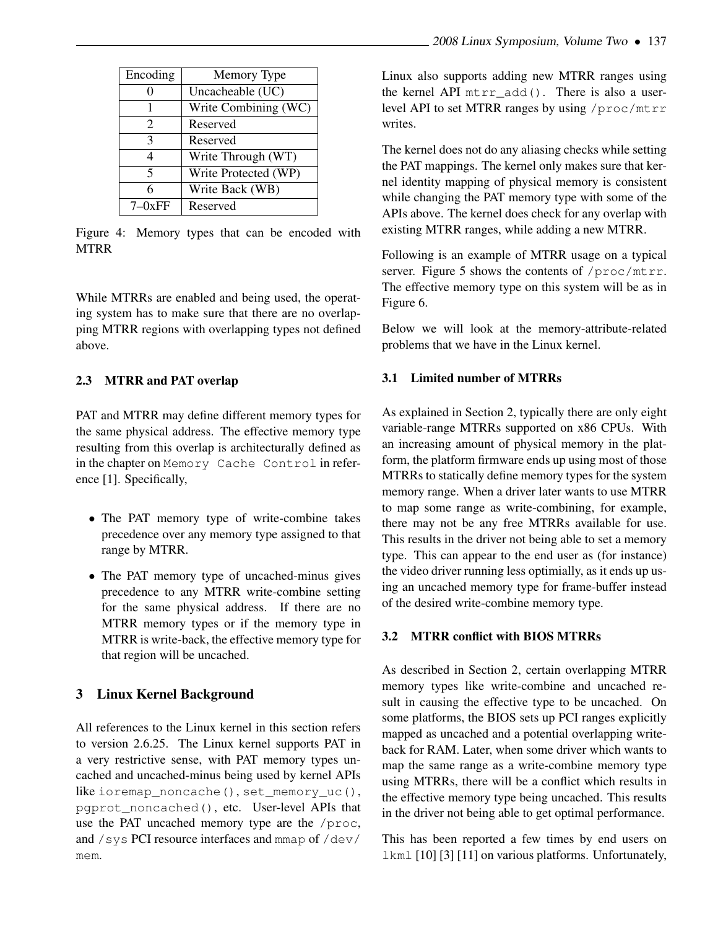| Encoding                | Memory Type          |
|-------------------------|----------------------|
|                         |                      |
|                         | Uncacheable (UC)     |
|                         | Write Combining (WC) |
| 2                       | Reserved             |
| 3                       | Reserved             |
| 4                       | Write Through (WT)   |
| $\overline{\mathbf{5}}$ | Write Protected (WP) |
| 6                       | Write Back (WB)      |
|                         | Reserved             |

Figure 4: Memory types that can be encoded with MTRR

While MTRRs are enabled and being used, the operating system has to make sure that there are no overlapping MTRR regions with overlapping types not defined above.

#### 2.3 MTRR and PAT overlap

PAT and MTRR may define different memory types for the same physical address. The effective memory type resulting from this overlap is architecturally defined as in the chapter on Memory Cache Control in reference [1]. Specifically,

- The PAT memory type of write-combine takes precedence over any memory type assigned to that range by MTRR.
- The PAT memory type of uncached-minus gives precedence to any MTRR write-combine setting for the same physical address. If there are no MTRR memory types or if the memory type in MTRR is write-back, the effective memory type for that region will be uncached.

## 3 Linux Kernel Background

All references to the Linux kernel in this section refers to version 2.6.25. The Linux kernel supports PAT in a very restrictive sense, with PAT memory types uncached and uncached-minus being used by kernel APIs like ioremap\_noncache(), set\_memory\_uc(), pgprot\_noncached(), etc. User-level APIs that use the PAT uncached memory type are the /proc, and /sys PCI resource interfaces and mmap of /dev/ mem.

Linux also supports adding new MTRR ranges using the kernel API  $mtr \text{add}$ (). There is also a userlevel API to set MTRR ranges by using /proc/mtrr writes.

The kernel does not do any aliasing checks while setting the PAT mappings. The kernel only makes sure that kernel identity mapping of physical memory is consistent while changing the PAT memory type with some of the APIs above. The kernel does check for any overlap with existing MTRR ranges, while adding a new MTRR.

Following is an example of MTRR usage on a typical server. Figure 5 shows the contents of /proc/mtrr. The effective memory type on this system will be as in Figure 6.

Below we will look at the memory-attribute-related problems that we have in the Linux kernel.

#### 3.1 Limited number of MTRRs

As explained in Section 2, typically there are only eight variable-range MTRRs supported on x86 CPUs. With an increasing amount of physical memory in the platform, the platform firmware ends up using most of those MTRRs to statically define memory types for the system memory range. When a driver later wants to use MTRR to map some range as write-combining, for example, there may not be any free MTRRs available for use. This results in the driver not being able to set a memory type. This can appear to the end user as (for instance) the video driver running less optimially, as it ends up using an uncached memory type for frame-buffer instead of the desired write-combine memory type.

#### 3.2 MTRR conflict with BIOS MTRRs

As described in Section 2, certain overlapping MTRR memory types like write-combine and uncached result in causing the effective type to be uncached. On some platforms, the BIOS sets up PCI ranges explicitly mapped as uncached and a potential overlapping writeback for RAM. Later, when some driver which wants to map the same range as a write-combine memory type using MTRRs, there will be a conflict which results in the effective memory type being uncached. This results in the driver not being able to get optimal performance.

This has been reported a few times by end users on lkml [10] [3] [11] on various platforms. Unfortunately,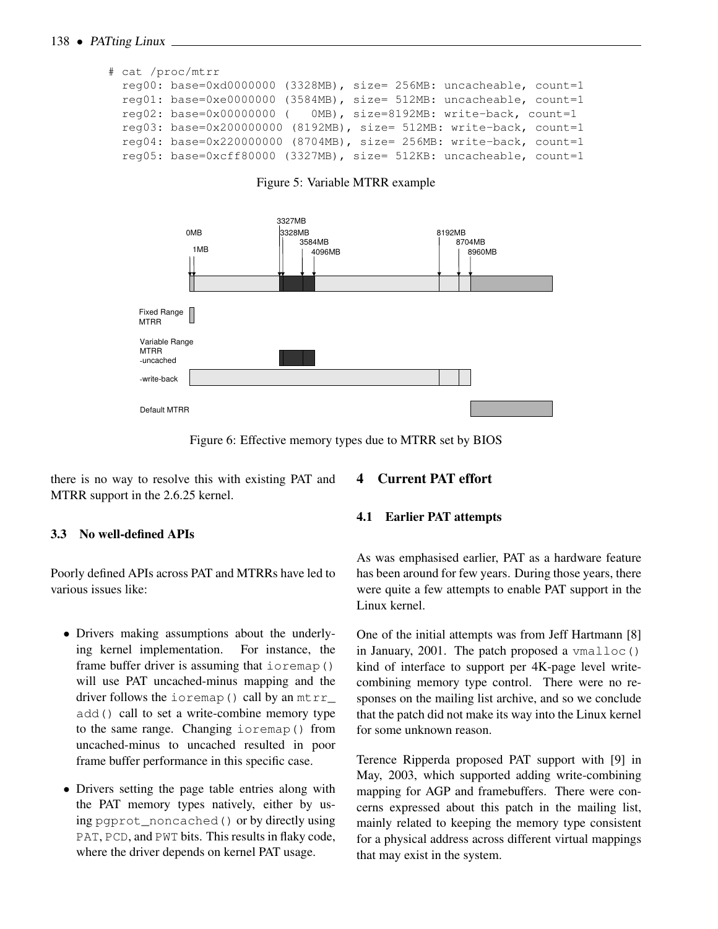#### 138 • PATting Linux

```
# cat /proc/mtrr
reg00: base=0xd0000000 (3328MB), size= 256MB: uncacheable, count=1
 reg01: base=0xe0000000 (3584MB), size= 512MB: uncacheable, count=1
 reg02: base=0x00000000 ( 0MB), size=8192MB: write-back, count=1
 reg03: base=0x200000000 (8192MB), size= 512MB: write-back, count=1
 reg04: base=0x220000000 (8704MB), size= 256MB: write-back, count=1
 reg05: base=0xcff80000 (3327MB), size= 512KB: uncacheable, count=1
```
Figure 5: Variable MTRR example



Figure 6: Effective memory types due to MTRR set by BIOS

there is no way to resolve this with existing PAT and MTRR support in the 2.6.25 kernel.

#### 3.3 No well-defined APIs

Poorly defined APIs across PAT and MTRRs have led to various issues like:

- Drivers making assumptions about the underlying kernel implementation. For instance, the frame buffer driver is assuming that ioremap() will use PAT uncached-minus mapping and the driver follows the ioremap() call by an  $mtr$ add() call to set a write-combine memory type to the same range. Changing ioremap() from uncached-minus to uncached resulted in poor frame buffer performance in this specific case.
- Drivers setting the page table entries along with the PAT memory types natively, either by using paprot noncached() or by directly using PAT, PCD, and PWT bits. This results in flaky code, where the driver depends on kernel PAT usage.

# 4 Current PAT effort

#### 4.1 Earlier PAT attempts

As was emphasised earlier, PAT as a hardware feature has been around for few years. During those years, there were quite a few attempts to enable PAT support in the Linux kernel.

One of the initial attempts was from Jeff Hartmann [8] in January, 2001. The patch proposed a  $v_{\text{m}alloc()}$ kind of interface to support per 4K-page level writecombining memory type control. There were no responses on the mailing list archive, and so we conclude that the patch did not make its way into the Linux kernel for some unknown reason.

Terence Ripperda proposed PAT support with [9] in May, 2003, which supported adding write-combining mapping for AGP and framebuffers. There were concerns expressed about this patch in the mailing list, mainly related to keeping the memory type consistent for a physical address across different virtual mappings that may exist in the system.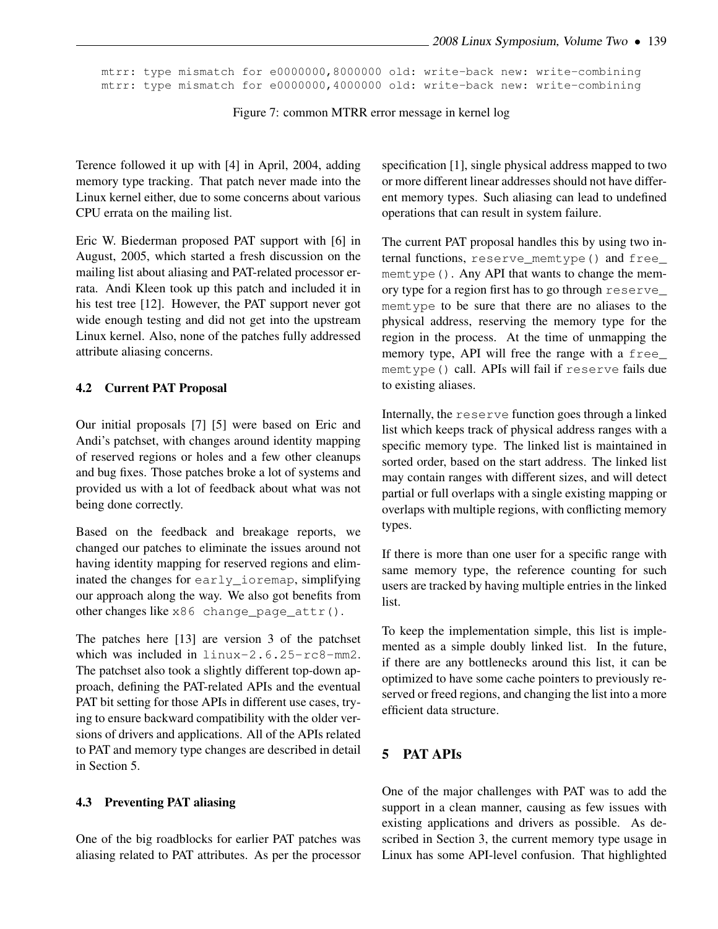mtrr: type mismatch for e0000000,8000000 old: write-back new: write-combining mtrr: type mismatch for e0000000,4000000 old: write-back new: write-combining

Figure 7: common MTRR error message in kernel log

Terence followed it up with [4] in April, 2004, adding memory type tracking. That patch never made into the Linux kernel either, due to some concerns about various CPU errata on the mailing list.

Eric W. Biederman proposed PAT support with [6] in August, 2005, which started a fresh discussion on the mailing list about aliasing and PAT-related processor errata. Andi Kleen took up this patch and included it in his test tree [12]. However, the PAT support never got wide enough testing and did not get into the upstream Linux kernel. Also, none of the patches fully addressed attribute aliasing concerns.

#### 4.2 Current PAT Proposal

Our initial proposals [7] [5] were based on Eric and Andi's patchset, with changes around identity mapping of reserved regions or holes and a few other cleanups and bug fixes. Those patches broke a lot of systems and provided us with a lot of feedback about what was not being done correctly.

Based on the feedback and breakage reports, we changed our patches to eliminate the issues around not having identity mapping for reserved regions and eliminated the changes for early\_ioremap, simplifying our approach along the way. We also got benefits from other changes like x86 change\_page\_attr().

The patches here [13] are version 3 of the patchset which was included in linux-2.6.25-rc8-mm2. The patchset also took a slightly different top-down approach, defining the PAT-related APIs and the eventual PAT bit setting for those APIs in different use cases, trying to ensure backward compatibility with the older versions of drivers and applications. All of the APIs related to PAT and memory type changes are described in detail in Section 5.

#### 4.3 Preventing PAT aliasing

One of the big roadblocks for earlier PAT patches was aliasing related to PAT attributes. As per the processor specification [1], single physical address mapped to two or more different linear addresses should not have different memory types. Such aliasing can lead to undefined operations that can result in system failure.

The current PAT proposal handles this by using two internal functions, reserve\_memtype() and free\_ memtype(). Any API that wants to change the memory type for a region first has to go through reserve\_ memtype to be sure that there are no aliases to the physical address, reserving the memory type for the region in the process. At the time of unmapping the memory type, API will free the range with a free\_ memtype() call. APIs will fail if reserve fails due to existing aliases.

Internally, the reserve function goes through a linked list which keeps track of physical address ranges with a specific memory type. The linked list is maintained in sorted order, based on the start address. The linked list may contain ranges with different sizes, and will detect partial or full overlaps with a single existing mapping or overlaps with multiple regions, with conflicting memory types.

If there is more than one user for a specific range with same memory type, the reference counting for such users are tracked by having multiple entries in the linked list.

To keep the implementation simple, this list is implemented as a simple doubly linked list. In the future, if there are any bottlenecks around this list, it can be optimized to have some cache pointers to previously reserved or freed regions, and changing the list into a more efficient data structure.

#### 5 PAT APIs

One of the major challenges with PAT was to add the support in a clean manner, causing as few issues with existing applications and drivers as possible. As described in Section 3, the current memory type usage in Linux has some API-level confusion. That highlighted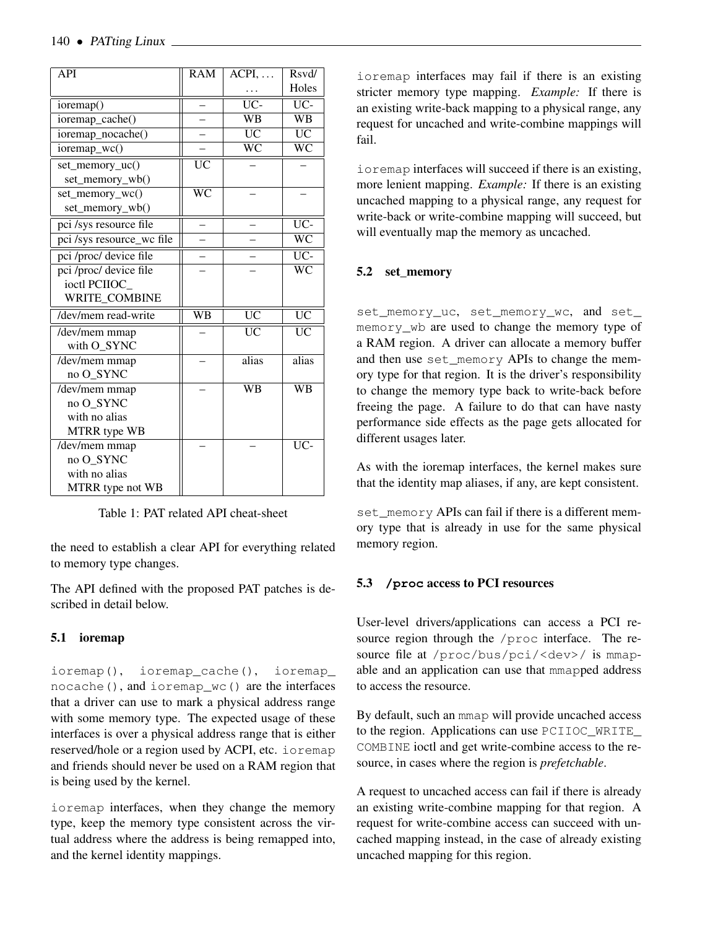| <b>API</b>                                      | <b>RAM</b>             | $\overline{ACPI}, \ldots$ | Rsvd/                  |
|-------------------------------------------------|------------------------|---------------------------|------------------------|
|                                                 |                        |                           | Holes                  |
| ioremap()                                       |                        | $\overline{UC}$           | $\overline{UC}$        |
| ioremap_cache()                                 |                        | $\overline{\text{WB}}$    | $\overline{\text{WB}}$ |
| ioremap_nocache()                               |                        | $\overline{UC}$           | $\overline{UC}$        |
| $\overline{\text{ioremap}_\text{-}\text{wc}()}$ |                        | $\overline{\text{WC}}$    | $\overline{\text{WC}}$ |
| set_memory_uc()                                 | $\overline{\text{UC}}$ |                           |                        |
| set_memory_wb()                                 |                        |                           |                        |
| set_memory_wc()                                 | $\overline{\text{WC}}$ |                           |                        |
| set_memory_wb()                                 |                        |                           |                        |
| pci /sys resource file                          |                        |                           | $\overline{UC}$        |
| pci/sys resource_wc file                        |                        |                           | $\overline{\text{WC}}$ |
| pci /proc/ device file                          |                        |                           | $\overline{UC}$        |
| pci /proc/ device file                          |                        |                           | $\overline{\text{WC}}$ |
| ioctl PCIIOC                                    |                        |                           |                        |
| WRITE COMBINE                                   |                        |                           |                        |
| /dev/mem read-write                             | <b>WB</b>              | $\overline{UC}$           | <b>UC</b>              |
| /dev/mem mmap                                   |                        | <b>UC</b>                 | <b>UC</b>              |
| with O SYNC                                     |                        |                           |                        |
| /dev/mem mmap                                   |                        | alias                     | alias                  |
| no O SYNC                                       |                        |                           |                        |
| /dev/mem mmap                                   |                        | <b>WB</b>                 | $\overline{\text{WB}}$ |
| no O SYNC                                       |                        |                           |                        |
| with no alias                                   |                        |                           |                        |
| <b>MTRR</b> type WB                             |                        |                           |                        |
| /dev/mem mmap                                   |                        |                           | $\overline{UC}$        |
| no O SYNC                                       |                        |                           |                        |
| with no alias                                   |                        |                           |                        |
| MTRR type not WB                                |                        |                           |                        |

Table 1: PAT related API cheat-sheet

the need to establish a clear API for everything related to memory type changes.

The API defined with the proposed PAT patches is described in detail below.

#### 5.1 ioremap

ioremap(), ioremap\_cache(), ioremap\_ nocache(), and ioremap\_wc() are the interfaces that a driver can use to mark a physical address range with some memory type. The expected usage of these interfaces is over a physical address range that is either reserved/hole or a region used by ACPI, etc. ioremap and friends should never be used on a RAM region that is being used by the kernel.

ioremap interfaces, when they change the memory type, keep the memory type consistent across the virtual address where the address is being remapped into, and the kernel identity mappings.

ioremap interfaces may fail if there is an existing stricter memory type mapping. *Example:* If there is an existing write-back mapping to a physical range, any request for uncached and write-combine mappings will fail.

ioremap interfaces will succeed if there is an existing, more lenient mapping. *Example:* If there is an existing uncached mapping to a physical range, any request for write-back or write-combine mapping will succeed, but will eventually map the memory as uncached.

#### 5.2 set\_memory

set\_memory\_uc, set\_memory\_wc, and set\_ memory\_wb are used to change the memory type of a RAM region. A driver can allocate a memory buffer and then use set\_memory APIs to change the memory type for that region. It is the driver's responsibility to change the memory type back to write-back before freeing the page. A failure to do that can have nasty performance side effects as the page gets allocated for different usages later.

As with the ioremap interfaces, the kernel makes sure that the identity map aliases, if any, are kept consistent.

set\_memory APIs can fail if there is a different memory type that is already in use for the same physical memory region.

#### 5.3 **/proc** access to PCI resources

User-level drivers/applications can access a PCI resource region through the /proc interface. The resource file at /proc/bus/pci/<dev>/ is mmapable and an application can use that mmapped address to access the resource.

By default, such an mmap will provide uncached access to the region. Applications can use PCIIOC\_WRITE COMBINE ioctl and get write-combine access to the resource, in cases where the region is *prefetchable*.

A request to uncached access can fail if there is already an existing write-combine mapping for that region. A request for write-combine access can succeed with uncached mapping instead, in the case of already existing uncached mapping for this region.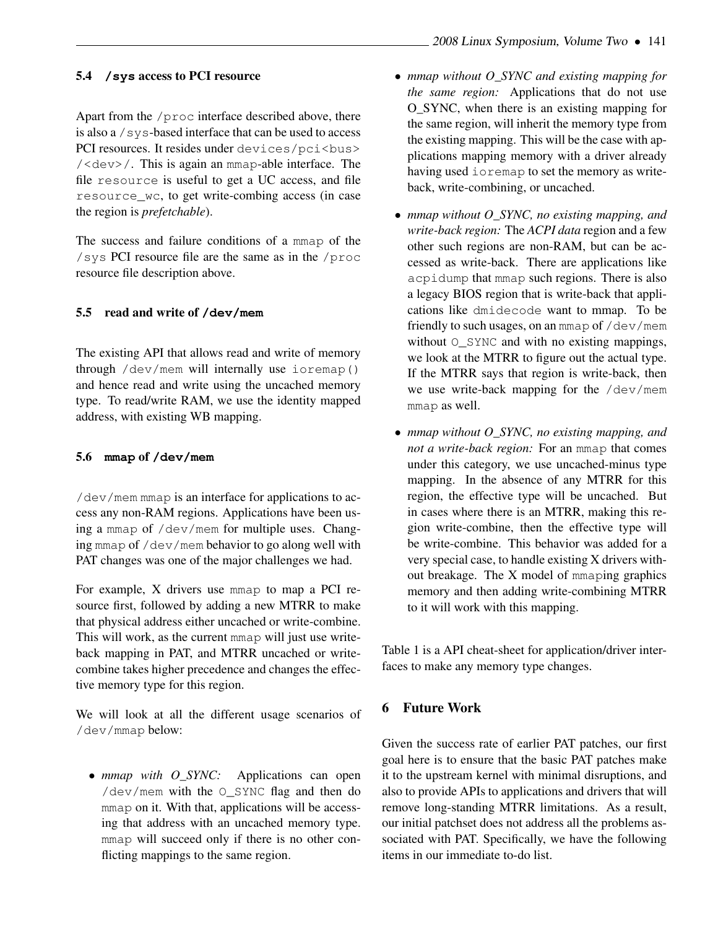#### 5.4 **/sys** access to PCI resource

Apart from the /proc interface described above, there is also a /sys-based interface that can be used to access PCI resources. It resides under devices/pci<br/>bus> /<dev>/. This is again an mmap-able interface. The file resource is useful to get a UC access, and file resource\_wc, to get write-combing access (in case the region is *prefetchable*).

The success and failure conditions of a mmap of the /sys PCI resource file are the same as in the /proc resource file description above.

#### 5.5 read and write of **/dev/mem**

The existing API that allows read and write of memory through /dev/mem will internally use ioremap() and hence read and write using the uncached memory type. To read/write RAM, we use the identity mapped address, with existing WB mapping.

#### 5.6 **mmap** of **/dev/mem**

/dev/mem mmap is an interface for applications to access any non-RAM regions. Applications have been using a mmap of /dev/mem for multiple uses. Changing mmap of /dev/mem behavior to go along well with PAT changes was one of the major challenges we had.

For example, X drivers use mmap to map a PCI resource first, followed by adding a new MTRR to make that physical address either uncached or write-combine. This will work, as the current mmap will just use writeback mapping in PAT, and MTRR uncached or writecombine takes higher precedence and changes the effective memory type for this region.

We will look at all the different usage scenarios of /dev/mmap below:

• *mmap with O\_SYNC:* Applications can open /dev/mem with the O\_SYNC flag and then do mmap on it. With that, applications will be accessing that address with an uncached memory type. mmap will succeed only if there is no other conflicting mappings to the same region.

- *mmap without O\_SYNC and existing mapping for the same region:* Applications that do not use O\_SYNC, when there is an existing mapping for the same region, will inherit the memory type from the existing mapping. This will be the case with applications mapping memory with a driver already having used ioremap to set the memory as writeback, write-combining, or uncached.
- *mmap without O\_SYNC, no existing mapping, and write-back region:* The *ACPI data* region and a few other such regions are non-RAM, but can be accessed as write-back. There are applications like acpidump that mmap such regions. There is also a legacy BIOS region that is write-back that applications like dmidecode want to mmap. To be friendly to such usages, on an mmap of /dev/mem without O\_SYNC and with no existing mappings, we look at the MTRR to figure out the actual type. If the MTRR says that region is write-back, then we use write-back mapping for the /dev/mem mmap as well.
- *mmap without O\_SYNC, no existing mapping, and not a write-back region:* For an mmap that comes under this category, we use uncached-minus type mapping. In the absence of any MTRR for this region, the effective type will be uncached. But in cases where there is an MTRR, making this region write-combine, then the effective type will be write-combine. This behavior was added for a very special case, to handle existing X drivers without breakage. The X model of mmaping graphics memory and then adding write-combining MTRR to it will work with this mapping.

Table 1 is a API cheat-sheet for application/driver interfaces to make any memory type changes.

#### 6 Future Work

Given the success rate of earlier PAT patches, our first goal here is to ensure that the basic PAT patches make it to the upstream kernel with minimal disruptions, and also to provide APIs to applications and drivers that will remove long-standing MTRR limitations. As a result, our initial patchset does not address all the problems associated with PAT. Specifically, we have the following items in our immediate to-do list.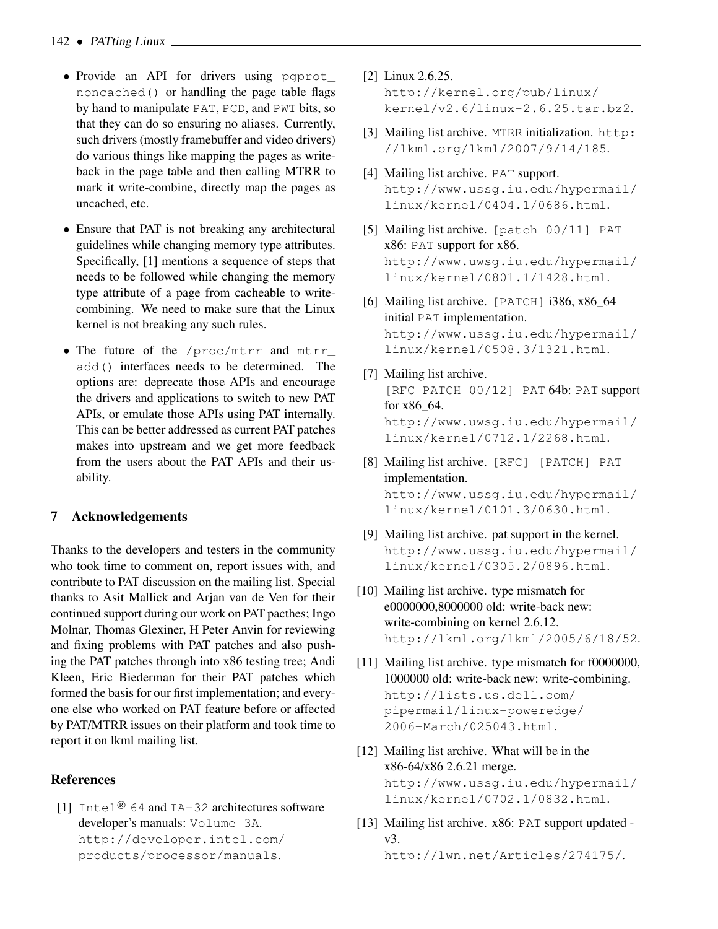- Provide an API for drivers using pgprot\_ noncached() or handling the page table flags by hand to manipulate PAT, PCD, and PWT bits, so that they can do so ensuring no aliases. Currently, such drivers (mostly framebuffer and video drivers) do various things like mapping the pages as writeback in the page table and then calling MTRR to mark it write-combine, directly map the pages as uncached, etc.
- Ensure that PAT is not breaking any architectural guidelines while changing memory type attributes. Specifically, [1] mentions a sequence of steps that needs to be followed while changing the memory type attribute of a page from cacheable to writecombining. We need to make sure that the Linux kernel is not breaking any such rules.
- The future of the /proc/mtrr and mtrr\_ add() interfaces needs to be determined. The options are: deprecate those APIs and encourage the drivers and applications to switch to new PAT APIs, or emulate those APIs using PAT internally. This can be better addressed as current PAT patches makes into upstream and we get more feedback from the users about the PAT APIs and their usability.

## 7 Acknowledgements

Thanks to the developers and testers in the community who took time to comment on, report issues with, and contribute to PAT discussion on the mailing list. Special thanks to Asit Mallick and Arjan van de Ven for their continued support during our work on PAT pacthes; Ingo Molnar, Thomas Glexiner, H Peter Anvin for reviewing and fixing problems with PAT patches and also pushing the PAT patches through into x86 testing tree; Andi Kleen, Eric Biederman for their PAT patches which formed the basis for our first implementation; and everyone else who worked on PAT feature before or affected by PAT/MTRR issues on their platform and took time to report it on lkml mailing list.

## **References**

[1] Intel<sup>®</sup> 64 and IA-32 architectures software developer's manuals: Volume 3A. http://developer.intel.com/ products/processor/manuals.

- [2] Linux 2.6.25. http://kernel.org/pub/linux/ kernel/v2.6/linux-2.6.25.tar.bz2.
- [3] Mailing list archive. MTRR initialization. http: //lkml.org/lkml/2007/9/14/185.
- [4] Mailing list archive. PAT support. http://www.ussg.iu.edu/hypermail/ linux/kernel/0404.1/0686.html.
- [5] Mailing list archive. [patch 00/11] PAT x86: PAT support for x86. http://www.uwsg.iu.edu/hypermail/ linux/kernel/0801.1/1428.html.
- [6] Mailing list archive. [PATCH] i386, x86\_64 initial PAT implementation. http://www.ussg.iu.edu/hypermail/ linux/kernel/0508.3/1321.html.
- [7] Mailing list archive. [RFC PATCH 00/12] PAT 64b: PAT support for x86\_64. http://www.uwsg.iu.edu/hypermail/ linux/kernel/0712.1/2268.html.
- [8] Mailing list archive. [RFC] [PATCH] PAT implementation. http://www.ussg.iu.edu/hypermail/ linux/kernel/0101.3/0630.html.
- [9] Mailing list archive. pat support in the kernel. http://www.ussg.iu.edu/hypermail/ linux/kernel/0305.2/0896.html.
- [10] Mailing list archive. type mismatch for e0000000,8000000 old: write-back new: write-combining on kernel 2.6.12. http://lkml.org/lkml/2005/6/18/52.
- [11] Mailing list archive. type mismatch for f0000000, 1000000 old: write-back new: write-combining. http://lists.us.dell.com/ pipermail/linux-poweredge/ 2006-March/025043.html.
- [12] Mailing list archive. What will be in the x86-64/x86 2.6.21 merge. http://www.ussg.iu.edu/hypermail/ linux/kernel/0702.1/0832.html.
- [13] Mailing list archive. x86: PAT support updated v3.

http://lwn.net/Articles/274175/.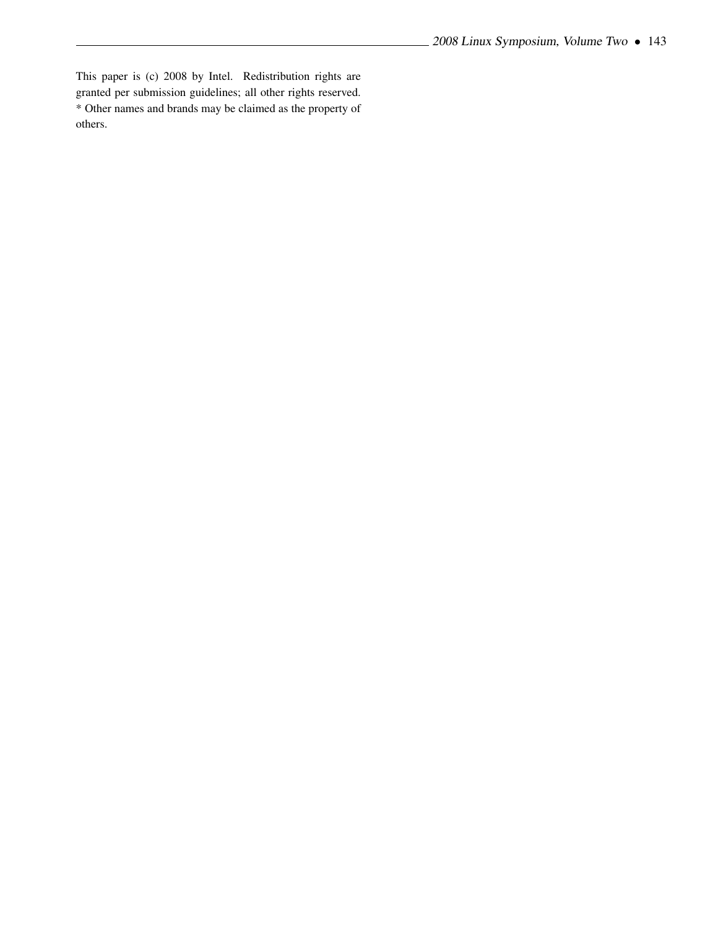This paper is (c) 2008 by Intel. Redistribution rights are granted per submission guidelines; all other rights reserved. \* Other names and brands may be claimed as the property of others.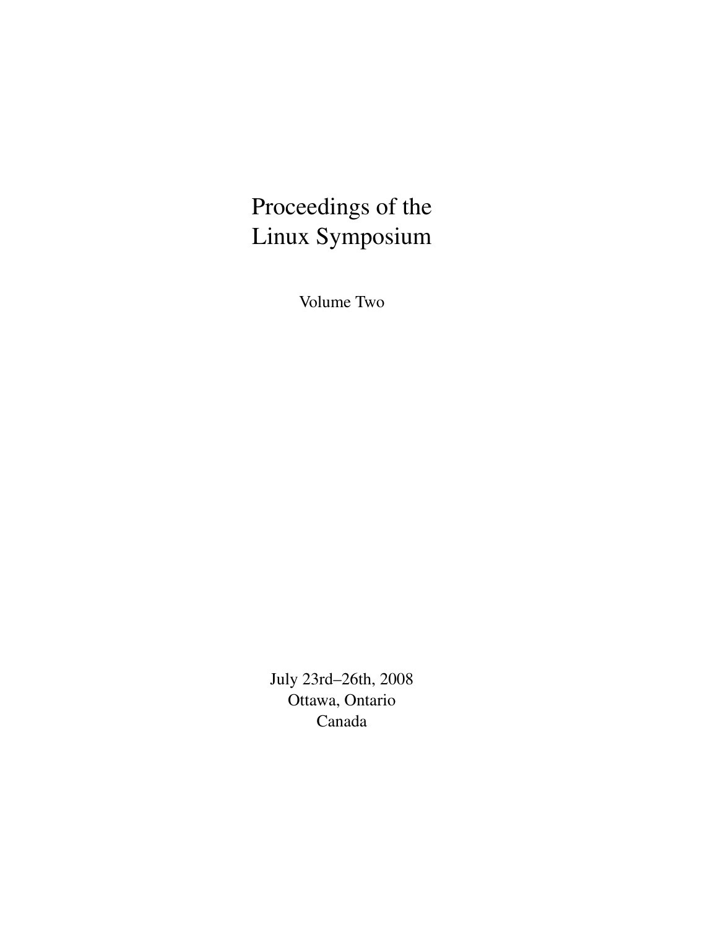# Proceedings of the Linux Symposium

Volume Two

July 23rd–26th, 2008 Ottawa, Ontario Canada